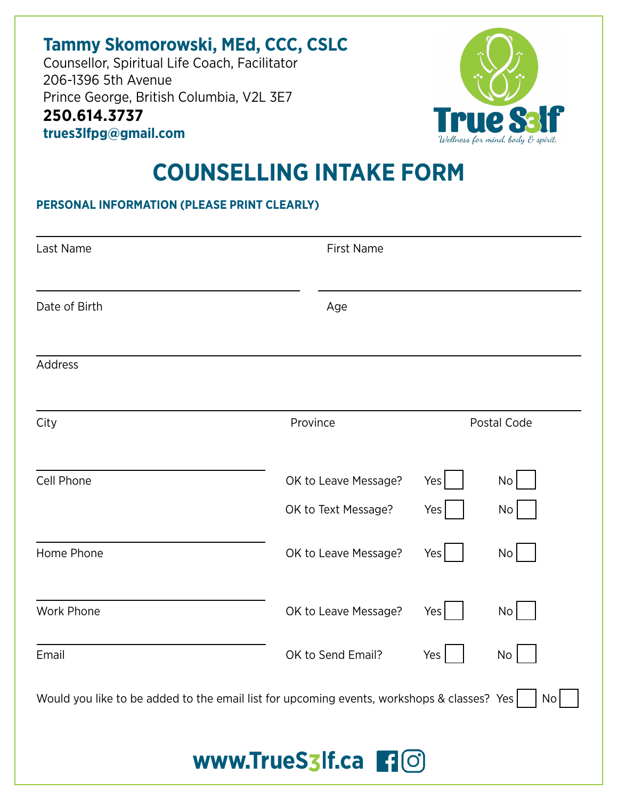## **Tammy Skomorowski, MEd, CCC, CSLC**

Counsellor, Spiritual Life Coach, Facilitator 206-1396 5th Avenue Prince George, British Columbia, V2L 3E7 **250.614.3737 trues3lfpg@gmail.com**



# **COUNSELLING INTAKE FORM**

#### **PERSONAL INFORMATION (PLEASE PRINT CLEARLY)**

| Last Name                                                                                          | <b>First Name</b>    |             |                 |
|----------------------------------------------------------------------------------------------------|----------------------|-------------|-----------------|
| Date of Birth                                                                                      | Age                  |             |                 |
| Address                                                                                            |                      |             |                 |
| City                                                                                               | Province             | Postal Code |                 |
| Cell Phone                                                                                         | OK to Leave Message? | Yes         | No              |
|                                                                                                    | OK to Text Message?  | Yes         | No              |
| Home Phone                                                                                         | OK to Leave Message? | Yes         | No              |
| Work Phone                                                                                         | OK to Leave Message? | Yes         | No              |
| Email                                                                                              | OK to Send Email?    | Yes         | No              |
| Would you like to be added to the email list for upcoming events, workshops & classes? Yes $\vert$ |                      |             | No <sub>l</sub> |
|                                                                                                    | www.TrueS3lf.ca flO  |             |                 |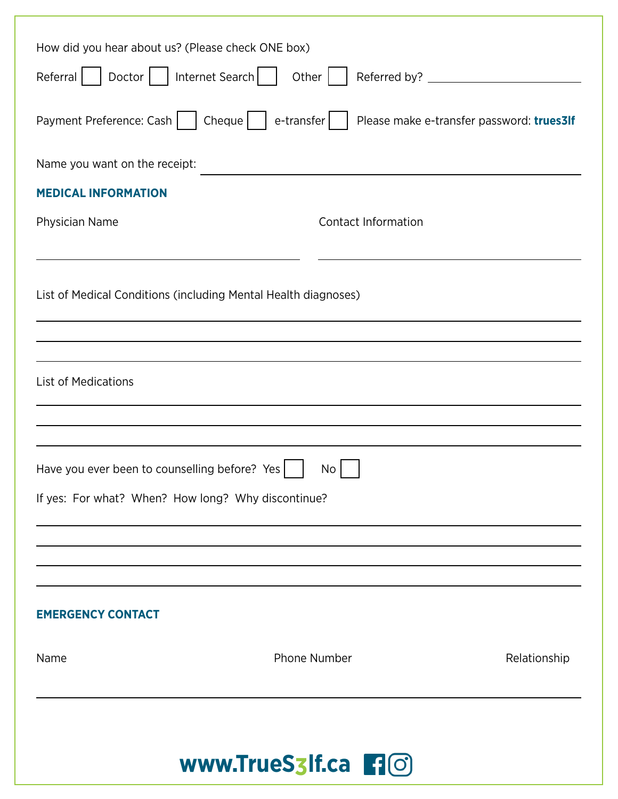| www.TrueS3lf.ca <b>[10]</b>                                    |                                           |  |  |  |
|----------------------------------------------------------------|-------------------------------------------|--|--|--|
| <b>Phone Number</b><br>Name                                    | Relationship                              |  |  |  |
| <b>EMERGENCY CONTACT</b>                                       |                                           |  |  |  |
|                                                                |                                           |  |  |  |
| If yes: For what? When? How long? Why discontinue?             |                                           |  |  |  |
| Have you ever been to counselling before? Yes<br>No            |                                           |  |  |  |
|                                                                |                                           |  |  |  |
| <b>List of Medications</b>                                     |                                           |  |  |  |
|                                                                |                                           |  |  |  |
| List of Medical Conditions (including Mental Health diagnoses) |                                           |  |  |  |
|                                                                |                                           |  |  |  |
| Physician Name                                                 | <b>Contact Information</b>                |  |  |  |
| <b>MEDICAL INFORMATION</b>                                     |                                           |  |  |  |
| Name you want on the receipt:                                  |                                           |  |  |  |
| Cheque<br>e-transfer<br>Payment Preference: Cash               | Please make e-transfer password: trues3If |  |  |  |
| Doctor<br>  Internet Search  <br>Other  <br>Referral           |                                           |  |  |  |
| How did you hear about us? (Please check ONE box)              |                                           |  |  |  |